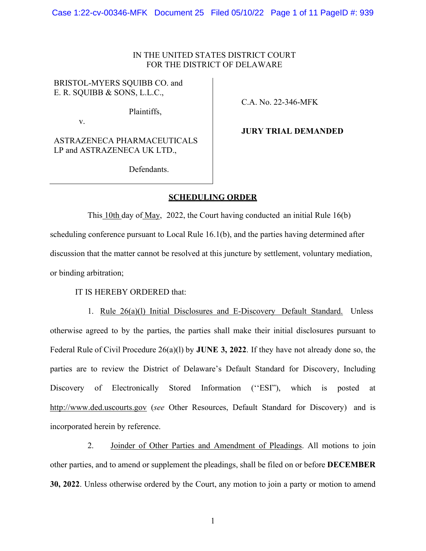## IN THE UNITED STATES DISTRICT COURT FOR THE DISTRICT OF DELAWARE

## BRISTOL-MYERS SQUIBB CO. and E. R. SQUIBB & SONS, L.L.C.,

Plaintiffs,

v.

**JURY TRIAL DEMANDED**

C.A. No. 22-346-MFK

ASTRAZENECA PHARMACEUTICALS LP and ASTRAZENECA UK LTD.,

Defendants.

## **SCHEDULING ORDER**

This 10th day of May, 2022, the Court having conducted an initial Rule 16(b) scheduling conference pursuant to Local Rule 16.1(b), and the parties having determined after discussion that the matter cannot be resolved at this juncture by settlement, voluntary mediation, or binding arbitration;

IT IS HEREBY ORDERED that:

1. Rule 26(a)(l) Initial Disclosures and E-Discovery Default Standard. Unless otherwise agreed to by the parties, the parties shall make their initial disclosures pursuant to Federal Rule of Civil Procedure 26(a)(l) by **JUNE 3, 2022**. If they have not already done so, the parties are to review the District of Delaware's Default Standard for Discovery, Including Discovery of Electronically Stored Information ("ESI"), which is posted at [http://www.ded.uscourts.gov](http://www.ded.uscourts.gov/) (*see* Other Resources, Default Standard for Discovery) and is incorporated herein by reference.

2. Joinder of Other Parties and Amendment of Pleadings. All motions to join other parties, and to amend or supplement the pleadings, shall be filed on or before **DECEMBER 30, 2022**. Unless otherwise ordered by the Court, any motion to join a party or motion to amend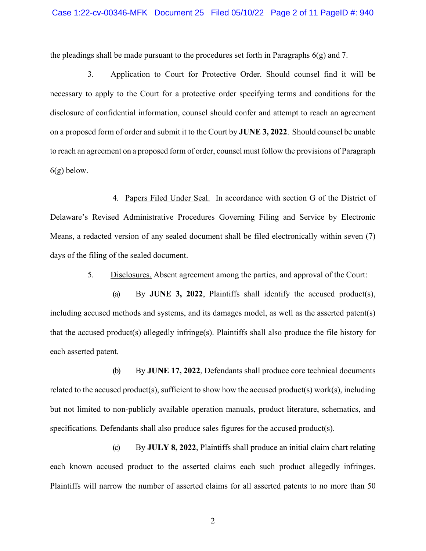the pleadings shall be made pursuant to the procedures set forth in Paragraphs  $6(g)$  and 7.

3. Application to Court for Protective Order. Should counsel find it will be necessary to apply to the Court for a protective order specifying terms and conditions for the disclosure of confidential information, counsel should confer and attempt to reach an agreement on a proposed form of order and submit it to the Court by **JUNE 3, 2022**. Should counsel be unable to reach an agreement on a proposed form of order, counsel must follow the provisions of Paragraph  $6(g)$  below.

4. Papers Filed Under Seal. In accordance with section G of the District of Delaware's Revised Administrative Procedures Governing Filing and Service by Electronic Means, a redacted version of any sealed document shall be filed electronically within seven (7) days of the filing of the sealed document.

5. Disclosures. Absent agreement among the parties, and approval of the Court:

(a) By **JUNE 3, 2022**, Plaintiffs shall identify the accused product(s), including accused methods and systems, and its damages model, as well as the asserted patent(s) that the accused product(s) allegedly infringe(s). Plaintiffs shall also produce the file history for each asserted patent.

(b) By **JUNE 17, 2022**, Defendants shall produce core technical documents related to the accused product(s), sufficient to show how the accused product(s) work(s), including but not limited to non-publicly available operation manuals, product literature, schematics, and specifications. Defendants shall also produce sales figures for the accused product(s).

(c) By **JULY 8, 2022**, Plaintiffs shall produce an initial claim chart relating each known accused product to the asserted claims each such product allegedly infringes. Plaintiffs will narrow the number of asserted claims for all asserted patents to no more than 50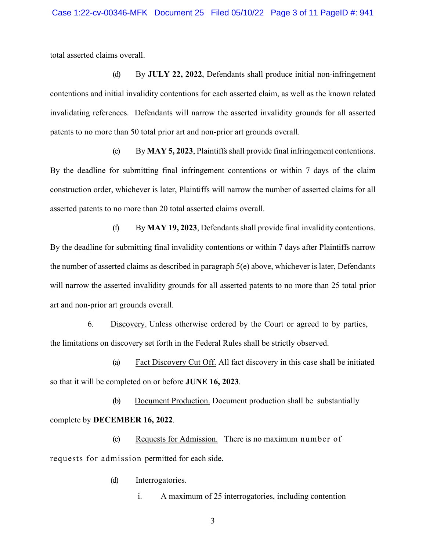total asserted claims overall.

(d) By **JULY 22, 2022**, Defendants shall produce initial non-infringement contentions and initial invalidity contentions for each asserted claim, as well as the known related invalidating references. Defendants will narrow the asserted invalidity grounds for all asserted patents to no more than 50 total prior art and non-prior art grounds overall.

(e) By **MAY 5, 2023**, Plaintiffs shall provide final infringement contentions. By the deadline for submitting final infringement contentions or within 7 days of the claim construction order, whichever is later, Plaintiffs will narrow the number of asserted claims for all asserted patents to no more than 20 total asserted claims overall.

(f) By **MAY 19, 2023**, Defendants shall provide final invalidity contentions. By the deadline for submitting final invalidity contentions or within 7 days after Plaintiffs narrow the number of asserted claims as described in paragraph  $5(e)$  above, whichever is later, Defendants will narrow the asserted invalidity grounds for all asserted patents to no more than 25 total prior art and non-prior art grounds overall.

6. Discovery. Unless otherwise ordered by the Court or agreed to by parties, the limitations on discovery set forth in the Federal Rules shall be strictly observed.

(a) Fact Discovery Cut Off. All fact discovery in this case shall be initiated so that it will be completed on or before **JUNE 16, 2023**.

(b) Document Production. Document production shall be substantially complete by **DECEMBER 16, 2022**.

(c) Requests for Admission. There is no maximum number of requests for admission permitted for each side.

(d) Interrogatories.

i. A maximum of 25 interrogatories, including contention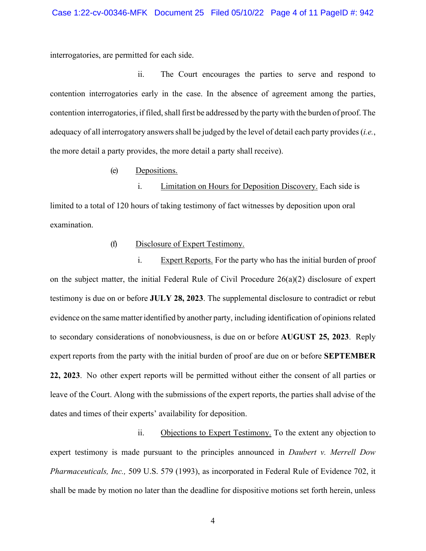interrogatories, are permitted for each side.

ii. The Court encourages the parties to serve and respond to contention interrogatories early in the case. In the absence of agreement among the parties, contention interrogatories, if filed, shall first be addressed by the party with the burden of proof. The adequacy of all interrogatory answersshall be judged by the level of detail each party provides (*i.e.*, the more detail a party provides, the more detail a party shall receive).

(e) Depositions.

i. Limitation on Hours for Deposition Discovery. Each side is limited to a total of 120 hours of taking testimony of fact witnesses by deposition upon oral examination.

### (f) Disclosure of Expert Testimony.

i. Expert Reports. For the party who has the initial burden of proof on the subject matter, the initial Federal Rule of Civil Procedure 26(a)(2) disclosure of expert testimony is due on or before **JULY 28, 2023**. The supplemental disclosure to contradict or rebut evidence on the same matteridentified by another party, including identification of opinions related to secondary considerations of nonobviousness, is due on or before **AUGUST 25, 2023**. Reply expert reports from the party with the initial burden of proof are due on or before **SEPTEMBER 22, 2023**. No other expert reports will be permitted without either the consent of all parties or leave of the Court. Along with the submissions of the expert reports, the parties shall advise of the dates and times of their experts' availability for deposition.

ii. Objections to Expert Testimony. To the extent any objection to expert testimony is made pursuant to the principles announced in *Daubert v. Merrell Dow Pharmaceuticals, Inc.,* 509 U.S. 579 (1993), as incorporated in Federal Rule of Evidence 702, it shall be made by motion no later than the deadline for dispositive motions set forth herein, unless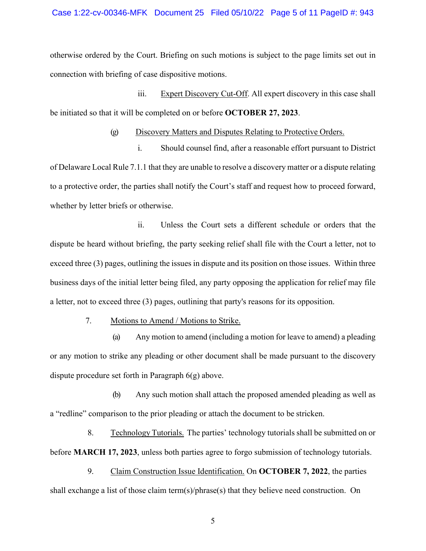otherwise ordered by the Court. Briefing on such motions is subject to the page limits set out in connection with briefing of case dispositive motions.

iii. Expert Discovery Cut-Off. All expert discovery in this case shall be initiated so that it will be completed on or before **OCTOBER 27, 2023**.

(g) Discovery Matters and Disputes Relating to Protective Orders.

i. Should counsel find, after a reasonable effort pursuant to District of Delaware Local Rule 7.1.1 that they are unable to resolve a discovery matter or a dispute relating to a protective order, the parties shall notify the Court's staff and request how to proceed forward, whether by letter briefs or otherwise.

ii. Unless the Court sets a different schedule or orders that the dispute be heard without briefing, the party seeking relief shall file with the Court a letter, not to exceed three (3) pages, outlining the issues in dispute and its position on those issues. Within three business days of the initial letter being filed, any party opposing the application for relief may file a letter, not to exceed three (3) pages, outlining that party's reasons for its opposition.

7. Motions to Amend / Motions to Strike.

(a) Any motion to amend (including a motion for leave to amend) a pleading or any motion to strike any pleading or other document shall be made pursuant to the discovery dispute procedure set forth in Paragraph 6(g) above.

(b) Any such motion shall attach the proposed amended pleading as well as a "redline" comparison to the prior pleading or attach the document to be stricken.

8. Technology Tutorials. The parties' technology tutorials shall be submitted on or before **MARCH 17, 2023**, unless both parties agree to forgo submission of technology tutorials.

9. Claim Construction Issue Identification. On **OCTOBER 7, 2022**, the parties shall exchange a list of those claim term(s)/phrase(s) that they believe need construction. On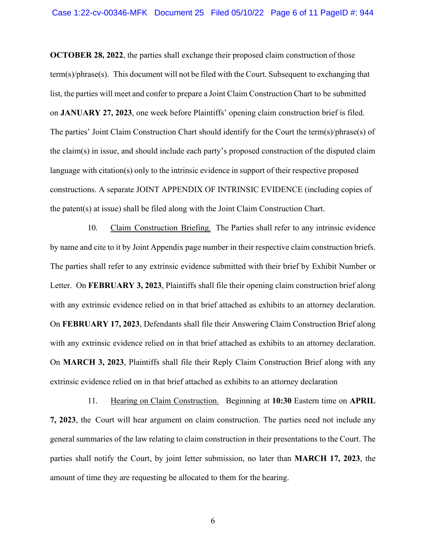**OCTOBER 28, 2022**, the parties shall exchange their proposed claim construction of those term(s)/phrase(s). This document will not be filed with the Court. Subsequent to exchanging that list, the parties will meet and confer to prepare a Joint Claim Construction Chart to be submitted on **JANUARY 27, 2023**, one week before Plaintiffs' opening claim construction brief is filed. The parties' Joint Claim Construction Chart should identify for the Court the term(s)/phrase(s) of the claim(s) in issue, and should include each party's proposed construction of the disputed claim language with citation(s) only to the intrinsic evidence in support of their respective proposed constructions. A separate JOINT APPENDIX OF INTRINSIC EVIDENCE (including copies of the patent(s) at issue) shall be filed along with the Joint Claim Construction Chart.

10. Claim Construction Briefing. The Parties shall refer to any intrinsic evidence by name and cite to it by Joint Appendix page number in their respective claim construction briefs. The parties shall refer to any extrinsic evidence submitted with their brief by Exhibit Number or Letter. On **FEBRUARY 3, 2023**, Plaintiffs shall file their opening claim construction brief along with any extrinsic evidence relied on in that brief attached as exhibits to an attorney declaration. On **FEBRUARY 17, 2023**, Defendants shall file their Answering Claim Construction Brief along with any extrinsic evidence relied on in that brief attached as exhibits to an attorney declaration. On **MARCH 3, 2023**, Plaintiffs shall file their Reply Claim Construction Brief along with any extrinsic evidence relied on in that brief attached as exhibits to an attorney declaration

11. Hearing on Claim Construction. Beginning at **10:30** Eastern time on **APRIL 7, 2023**, the Court will hear argument on claim construction. The parties need not include any general summaries of the law relating to claim construction in their presentations to the Court. The parties shall notify the Court, by joint letter submission, no later than **MARCH 17, 2023**, the amount of time they are requesting be allocated to them for the hearing.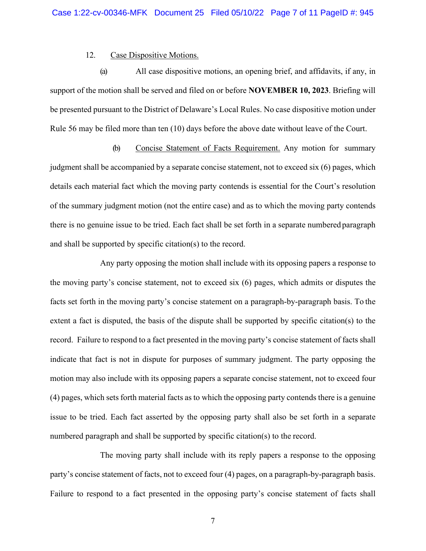#### 12. Case Dispositive Motions.

(a) All case dispositive motions, an opening brief, and affidavits, if any, in support of the motion shall be served and filed on or before **NOVEMBER 10, 2023**. Briefing will be presented pursuant to the District of Delaware's Local Rules. No case dispositive motion under Rule 56 may be filed more than ten (10) days before the above date without leave of the Court.

(b) Concise Statement of Facts Requirement. Any motion for summary judgment shall be accompanied by a separate concise statement, not to exceed six (6) pages, which details each material fact which the moving party contends is essential for the Court's resolution of the summary judgment motion (not the entire case) and as to which the moving party contends there is no genuine issue to be tried. Each fact shall be set forth in a separate numbered paragraph and shall be supported by specific citation(s) to the record.

Any party opposing the motion shall include with its opposing papers a response to the moving party's concise statement, not to exceed six (6) pages, which admits or disputes the facts set forth in the moving party's concise statement on a paragraph-by-paragraph basis. To the extent a fact is disputed, the basis of the dispute shall be supported by specific citation(s) to the record. Failure to respond to a fact presented in the moving party's concise statement of facts shall indicate that fact is not in dispute for purposes of summary judgment. The party opposing the motion may also include with its opposing papers a separate concise statement, not to exceed four (4) pages, which sets forth material facts as to which the opposing party contends there is a genuine issue to be tried. Each fact asserted by the opposing party shall also be set forth in a separate numbered paragraph and shall be supported by specific citation(s) to the record.

The moving party shall include with its reply papers a response to the opposing party's concise statement of facts, not to exceed four (4) pages, on a paragraph-by-paragraph basis. Failure to respond to a fact presented in the opposing party's concise statement of facts shall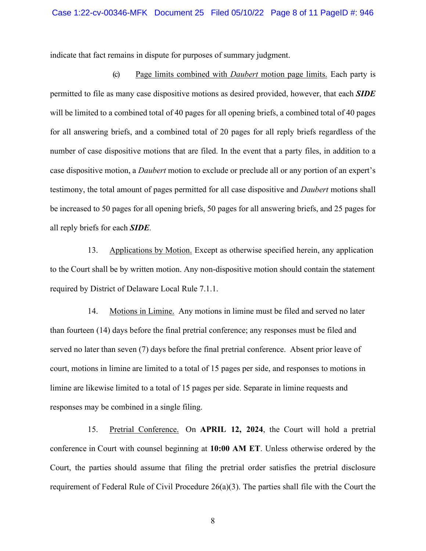indicate that fact remains in dispute for purposes of summary judgment.

(c) Page limits combined with *Daubert* motion page limits. Each party is permitted to file as many case dispositive motions as desired provided, however, that each *SIDE*  will be limited to a combined total of 40 pages for all opening briefs, a combined total of 40 pages for all answering briefs, and a combined total of 20 pages for all reply briefs regardless of the number of case dispositive motions that are filed. In the event that a party files, in addition to a case dispositive motion, a *Daubert* motion to exclude or preclude all or any portion of an expert's testimony, the total amount of pages permitted for all case dispositive and *Daubert* motions shall be increased to 50 pages for all opening briefs, 50 pages for all answering briefs, and 25 pages for all reply briefs for each *SIDE.*

13. Applications by Motion. Except as otherwise specified herein, any application to the Court shall be by written motion. Any non-dispositive motion should contain the statement required by District of Delaware Local Rule 7.1.1.

14. Motions in Limine. Any motions in limine must be filed and served no later than fourteen (14) days before the final pretrial conference; any responses must be filed and served no later than seven (7) days before the final pretrial conference. Absent prior leave of court, motions in limine are limited to a total of 15 pages per side, and responses to motions in limine are likewise limited to a total of 15 pages per side. Separate in limine requests and responses may be combined in a single filing.

15. Pretrial Conference. On **APRIL 12, 2024**, the Court will hold a pretrial conference in Court with counsel beginning at **10:00 AM ET**. Unless otherwise ordered by the Court, the parties should assume that filing the pretrial order satisfies the pretrial disclosure requirement of Federal Rule of Civil Procedure 26(a)(3). The parties shall file with the Court the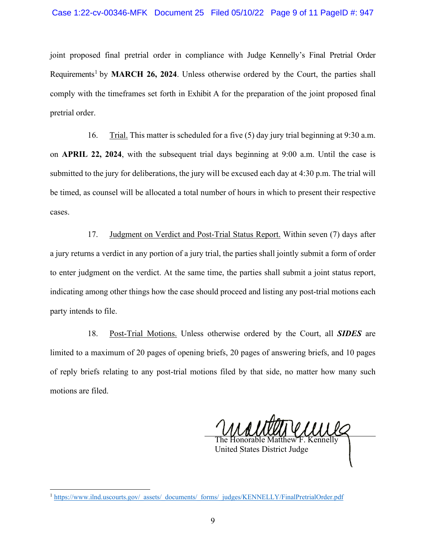joint proposed final pretrial order in compliance with Judge Kennelly's Final Pretrial Order Requirements<sup>[1](#page-8-0)</sup> by MARCH 26, 2024. Unless otherwise ordered by the Court, the parties shall comply with the timeframes set forth in Exhibit A for the preparation of the joint proposed final pretrial order.

16. Trial. This matter is scheduled for a five (5) day jury trial beginning at 9:30 a.m. on **APRIL 22, 2024**, with the subsequent trial days beginning at 9:00 a.m. Until the case is submitted to the jury for deliberations, the jury will be excused each day at 4:30 p.m. The trial will be timed, as counsel will be allocated a total number of hours in which to present their respective cases.

17. Judgment on Verdict and Post-Trial Status Report. Within seven (7) days after a jury returns a verdict in any portion of a jury trial, the parties shall jointly submit a form of order to enter judgment on the verdict. At the same time, the parties shall submit a joint status report, indicating among other things how the case should proceed and listing any post-trial motions each party intends to file.

18. Post-Trial Motions. Unless otherwise ordered by the Court, all *SIDES* are limited to a maximum of 20 pages of opening briefs, 20 pages of answering briefs, and 10 pages of reply briefs relating to any post-trial motions filed by that side, no matter how many such motions are filed.

The Honorable Matthew F. Kennelly

United States District Judge

<span id="page-8-0"></span><sup>&</sup>lt;sup>1</sup> https://www.ilnd.uscourts.gov/\_assets/\_documents/\_forms/\_judges/KENNELLY/FinalPretrialOrder.pdf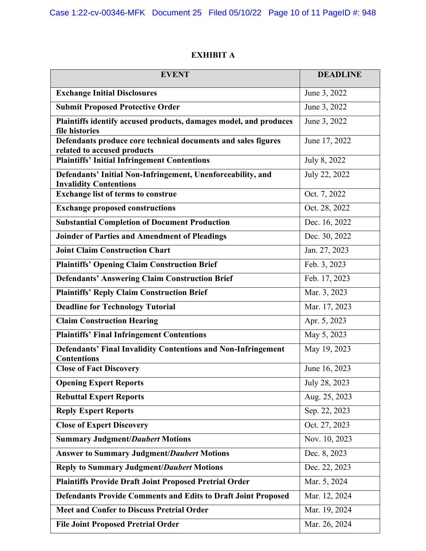# **EXHIBIT A**

| <b>EVENT</b>                                                                                 | <b>DEADLINE</b> |
|----------------------------------------------------------------------------------------------|-----------------|
| <b>Exchange Initial Disclosures</b>                                                          | June 3, 2022    |
| <b>Submit Proposed Protective Order</b>                                                      | June 3, 2022    |
| Plaintiffs identify accused products, damages model, and produces<br>file histories          | June 3, 2022    |
| Defendants produce core technical documents and sales figures<br>related to accused products | June 17, 2022   |
| <b>Plaintiffs' Initial Infringement Contentions</b>                                          | July 8, 2022    |
| Defendants' Initial Non-Infringement, Unenforceability, and<br><b>Invalidity Contentions</b> | July 22, 2022   |
| <b>Exchange list of terms to construe</b>                                                    | Oct. 7, 2022    |
| <b>Exchange proposed constructions</b>                                                       | Oct. 28, 2022   |
| <b>Substantial Completion of Document Production</b>                                         | Dec. 16, 2022   |
| Joinder of Parties and Amendment of Pleadings                                                | Dec. 30, 2022   |
| <b>Joint Claim Construction Chart</b>                                                        | Jan. 27, 2023   |
| <b>Plaintiffs' Opening Claim Construction Brief</b>                                          | Feb. 3, 2023    |
| <b>Defendants' Answering Claim Construction Brief</b>                                        | Feb. 17, 2023   |
| <b>Plaintiffs' Reply Claim Construction Brief</b>                                            | Mar. 3, 2023    |
| <b>Deadline for Technology Tutorial</b>                                                      | Mar. 17, 2023   |
| <b>Claim Construction Hearing</b>                                                            | Apr. 5, 2023    |
| <b>Plaintiffs' Final Infringement Contentions</b>                                            | May 5, 2023     |
| <b>Defendants' Final Invalidity Contentions and Non-Infringement</b><br><b>Contentions</b>   | May 19, 2023    |
| <b>Close of Fact Discovery</b>                                                               | June 16, 2023   |
| <b>Opening Expert Reports</b>                                                                | July 28, 2023   |
| <b>Rebuttal Expert Reports</b>                                                               | Aug. 25, 2023   |
| <b>Reply Expert Reports</b>                                                                  | Sep. 22, 2023   |
| <b>Close of Expert Discovery</b>                                                             | Oct. 27, 2023   |
| <b>Summary Judgment/Daubert Motions</b>                                                      | Nov. 10, 2023   |
| <b>Answer to Summary Judgment/Daubert Motions</b>                                            | Dec. 8, 2023    |
| <b>Reply to Summary Judgment/Daubert Motions</b>                                             | Dec. 22, 2023   |
| <b>Plaintiffs Provide Draft Joint Proposed Pretrial Order</b>                                | Mar. 5, 2024    |
| <b>Defendants Provide Comments and Edits to Draft Joint Proposed</b>                         | Mar. 12, 2024   |
| <b>Meet and Confer to Discuss Pretrial Order</b>                                             | Mar. 19, 2024   |
| <b>File Joint Proposed Pretrial Order</b>                                                    | Mar. 26, 2024   |